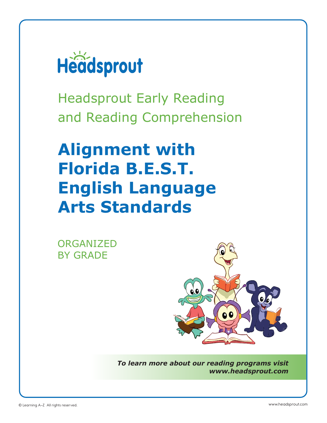

Headsprout Early Reading and Reading Comprehension

# **Alignment with Florida B.E.S.T. English Language Arts Standards**

ORGANIZED BY GRADE



*To learn more about our reading programs visit www.headsprout.com*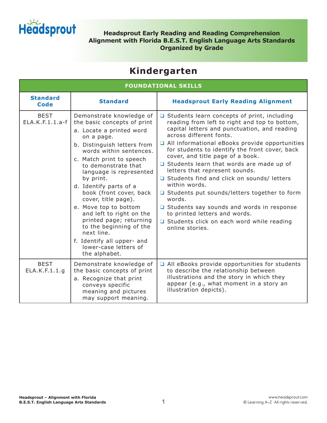

**Headsprout Early Reading and Reading Comprehension Alignment with Florida B.E.S.T. English Language Arts Standards Organized by Grade**

#### **Kindergarten**

|                                  |                                                                                                                                                                                                                                                                                                                                                                                                                                                                                                                                     | <b>FOUNDATIONAL SKILLS</b>                                                                                                                                                                                                                                                                                                                                                                                                                                                                                                                                                                                                                                                                 |
|----------------------------------|-------------------------------------------------------------------------------------------------------------------------------------------------------------------------------------------------------------------------------------------------------------------------------------------------------------------------------------------------------------------------------------------------------------------------------------------------------------------------------------------------------------------------------------|--------------------------------------------------------------------------------------------------------------------------------------------------------------------------------------------------------------------------------------------------------------------------------------------------------------------------------------------------------------------------------------------------------------------------------------------------------------------------------------------------------------------------------------------------------------------------------------------------------------------------------------------------------------------------------------------|
| <b>Standard</b><br>Code          | <b>Standard</b>                                                                                                                                                                                                                                                                                                                                                                                                                                                                                                                     | <b>Headsprout Early Reading Alignment</b>                                                                                                                                                                                                                                                                                                                                                                                                                                                                                                                                                                                                                                                  |
| <b>BEST</b><br>$ELA.K.F.1.1.a-f$ | Demonstrate knowledge of<br>the basic concepts of print<br>a. Locate a printed word<br>on a page.<br>b. Distinguish letters from<br>words within sentences.<br>c. Match print to speech<br>to demonstrate that<br>language is represented<br>by print.<br>d. Identify parts of a<br>book (front cover, back<br>cover, title page).<br>e. Move top to bottom<br>and left to right on the<br>printed page; returning<br>to the beginning of the<br>next line.<br>f. Identify all upper- and<br>lower-case letters of<br>the alphabet. | $\Box$ Students learn concepts of print, including<br>reading from left to right and top to bottom,<br>capital letters and punctuation, and reading<br>across different fonts.<br>All informational eBooks provide opportunities<br>for students to identify the front cover, back<br>cover, and title page of a book.<br>$\Box$ Students learn that words are made up of<br>letters that represent sounds.<br>□ Students find and click on sounds/ letters<br>within words.<br>□ Students put sounds/letters together to form<br>words.<br>□ Students say sounds and words in response<br>to printed letters and words.<br>□ Students click on each word while reading<br>online stories. |
| <b>BEST</b><br>ELA.K.F.1.1.g     | Demonstrate knowledge of<br>the basic concepts of print<br>a. Recognize that print<br>conveys specific<br>meaning and pictures<br>may support meaning.                                                                                                                                                                                                                                                                                                                                                                              | All eBooks provide opportunities for students<br>to describe the relationship between<br>illustrations and the story in which they<br>appear (e.g., what moment in a story an<br>illustration depicts).                                                                                                                                                                                                                                                                                                                                                                                                                                                                                    |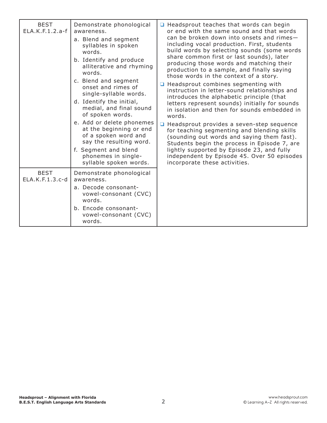| <b>BEST</b><br>$ELA.K.F.1.2.a-f$ | Demonstrate phonological<br>awareness.<br>a. Blend and segment<br>syllables in spoken<br>words.<br>b. Identify and produce<br>alliterative and rhyming<br>words.<br>c. Blend and segment<br>onset and rimes of<br>single-syllable words.<br>d. Identify the initial,<br>medial, and final sound<br>of spoken words.<br>e. Add or delete phonemes<br>at the beginning or end<br>of a spoken word and<br>say the resulting word.<br>f. Segment and blend<br>phonemes in single-<br>syllable spoken words. | □ Headsprout teaches that words can begin<br>or end with the same sound and that words<br>can be broken down into onsets and rimes-<br>including vocal production. First, students<br>build words by selecting sounds (some words<br>share common first or last sounds), later<br>producing those words and matching their<br>production to a sample, and finally saying<br>those words in the context of a story.<br>$\Box$ Headsprout combines segmenting with<br>instruction in letter-sound relationships and<br>introduces the alphabetic principle (that<br>letters represent sounds) initially for sounds<br>in isolation and then for sounds embedded in<br>words.<br>$\Box$ Headsprout provides a seven-step sequence<br>for teaching segmenting and blending skills<br>(sounding out words and saying them fast).<br>Students begin the process in Episode 7, are<br>lightly supported by Episode 23, and fully<br>independent by Episode 45. Over 50 episodes<br>incorporate these activities. |
|----------------------------------|---------------------------------------------------------------------------------------------------------------------------------------------------------------------------------------------------------------------------------------------------------------------------------------------------------------------------------------------------------------------------------------------------------------------------------------------------------------------------------------------------------|-----------------------------------------------------------------------------------------------------------------------------------------------------------------------------------------------------------------------------------------------------------------------------------------------------------------------------------------------------------------------------------------------------------------------------------------------------------------------------------------------------------------------------------------------------------------------------------------------------------------------------------------------------------------------------------------------------------------------------------------------------------------------------------------------------------------------------------------------------------------------------------------------------------------------------------------------------------------------------------------------------------|
| <b>BEST</b><br>ELA.K.F.1.3.c-d   | Demonstrate phonological<br>awareness.<br>a. Decode consonant-<br>vowel-consonant (CVC)<br>words.<br>b. Encode consonant-<br>vowel-consonant (CVC)<br>words.                                                                                                                                                                                                                                                                                                                                            |                                                                                                                                                                                                                                                                                                                                                                                                                                                                                                                                                                                                                                                                                                                                                                                                                                                                                                                                                                                                           |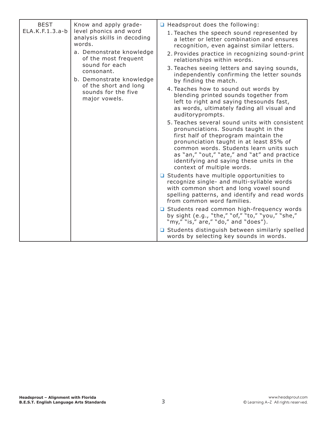| <b>BEST</b><br>ELA.K.F.1.3.a-b | Know and apply grade-<br>level phonics and word<br>analysis skills in decoding<br>words.<br>a. Demonstrate knowledge<br>of the most frequent<br>sound for each<br>consonant.<br>b. Demonstrate knowledge<br>of the short and long<br>sounds for the five<br>major vowels. | $\Box$ Headsprout does the following:<br>1. Teaches the speech sound represented by<br>a letter or letter combination and ensures<br>recognition, even against similar letters.<br>2. Provides practice in recognizing sound-print<br>relationships within words.<br>3. Teaches seeing letters and saying sounds,<br>independently confirming the letter sounds<br>by finding the match.<br>4. Teaches how to sound out words by<br>blending printed sounds together from<br>left to right and saying thesounds fast,<br>as words, ultimately fading all visual and<br>auditoryprompts.<br>5. Teaches several sound units with consistent<br>pronunciations. Sounds taught in the<br>first half of theprogram maintain the<br>pronunciation taught in at least 85% of<br>common words. Students learn units such<br>as "an," "out," "ate," and "at" and practice<br>identifying and saying these units in the<br>context of multiple words.<br>$\Box$ Students have multiple opportunities to<br>recognize single- and multi-syllable words<br>with common short and long vowel sound<br>spelling patterns, and identify and read words<br>from common word families. |
|--------------------------------|---------------------------------------------------------------------------------------------------------------------------------------------------------------------------------------------------------------------------------------------------------------------------|-----------------------------------------------------------------------------------------------------------------------------------------------------------------------------------------------------------------------------------------------------------------------------------------------------------------------------------------------------------------------------------------------------------------------------------------------------------------------------------------------------------------------------------------------------------------------------------------------------------------------------------------------------------------------------------------------------------------------------------------------------------------------------------------------------------------------------------------------------------------------------------------------------------------------------------------------------------------------------------------------------------------------------------------------------------------------------------------------------------------------------------------------------------------------|
|                                |                                                                                                                                                                                                                                                                           | □ Students read common high-frequency words<br>by sight (e.g., "the," "of," "to," "you," "she,"<br>"my," "is," are," "do," and "does").                                                                                                                                                                                                                                                                                                                                                                                                                                                                                                                                                                                                                                                                                                                                                                                                                                                                                                                                                                                                                               |
|                                |                                                                                                                                                                                                                                                                           | □ Students distinguish between similarly spelled<br>words by selecting key sounds in words.                                                                                                                                                                                                                                                                                                                                                                                                                                                                                                                                                                                                                                                                                                                                                                                                                                                                                                                                                                                                                                                                           |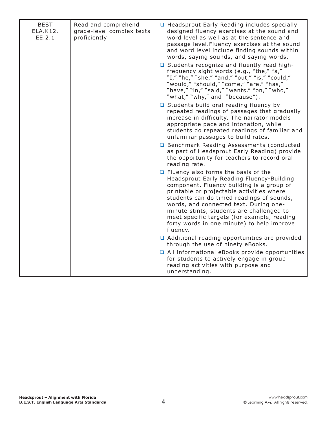| <b>BEST</b><br><b>ELA.K12.</b><br>EE.2.1 | Read and comprehend<br>grade-level complex texts<br>proficiently | □ Headsprout Early Reading includes specially<br>designed fluency exercises at the sound and<br>word level as well as at the sentence and<br>passage level. Fluency exercises at the sound<br>and word level include finding sounds within<br>words, saying sounds, and saying words.<br>$\Box$ Students recognize and fluently read high-<br>frequency sight words (e.g., "the," "a,"<br>"I," "he," "she," "and," "out," "is," "could,"<br>"would," "should," "come," "are," "has,"<br>"have," "in," "said," "wants," "on," "who,"<br>"what," "why," and "because"). |
|------------------------------------------|------------------------------------------------------------------|-----------------------------------------------------------------------------------------------------------------------------------------------------------------------------------------------------------------------------------------------------------------------------------------------------------------------------------------------------------------------------------------------------------------------------------------------------------------------------------------------------------------------------------------------------------------------|
|                                          |                                                                  | $\Box$ Students build oral reading fluency by<br>repeated readings of passages that gradually<br>increase in difficulty. The narrator models<br>appropriate pace and intonation, while<br>students do repeated readings of familiar and<br>unfamiliar passages to build rates.<br>□ Benchmark Reading Assessments (conducted<br>as part of Headsprout Early Reading) provide<br>the opportunity for teachers to record oral                                                                                                                                           |
|                                          |                                                                  | reading rate.<br>$\Box$ Fluency also forms the basis of the<br>Headsprout Early Reading Fluency-Building<br>component. Fluency building is a group of<br>printable or projectable activities where<br>students can do timed readings of sounds,<br>words, and connected text. During one-<br>minute stints, students are challenged to<br>meet specific targets (for example, reading<br>forty words in one minute) to help improve<br>fluency.                                                                                                                       |
|                                          |                                                                  | □ Additional reading opportunities are provided<br>through the use of ninety eBooks.<br>All informational eBooks provide opportunities<br>for students to actively engage in group<br>reading activities with purpose and<br>understanding.                                                                                                                                                                                                                                                                                                                           |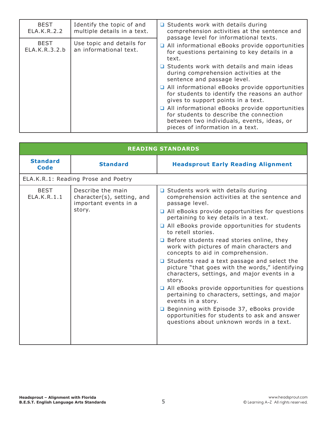| <b>BEST</b><br>ELA.K.R.2.2   | Identify the topic of and<br>multiple details in a text.                                                                                                                           | $\Box$ Students work with details during<br>comprehension activities at the sentence and<br>passage level for informational texts.            |
|------------------------------|------------------------------------------------------------------------------------------------------------------------------------------------------------------------------------|-----------------------------------------------------------------------------------------------------------------------------------------------|
| <b>BEST</b><br>ELA.K.R.3.2.b | Use topic and details for<br>an informational text.                                                                                                                                | $\Box$ All informational eBooks provide opportunities<br>for questions pertaining to key details in a<br>text.                                |
|                              |                                                                                                                                                                                    | $\Box$ Students work with details and main ideas<br>during comprehension activities at the<br>sentence and passage level.                     |
|                              |                                                                                                                                                                                    | $\Box$ All informational eBooks provide opportunities<br>for students to identify the reasons an author<br>gives to support points in a text. |
|                              | $\Box$ All informational eBooks provide opportunities<br>for students to describe the connection<br>between two individuals, events, ideas, or<br>pieces of information in a text. |                                                                                                                                               |

| <b>READING STANDARDS</b>   |                                                                                    |                                                                                                                                                                                                                                                                                                                                                                                                                                                                                                                                                                                                                                                                                                                                                                                                                                                                              |
|----------------------------|------------------------------------------------------------------------------------|------------------------------------------------------------------------------------------------------------------------------------------------------------------------------------------------------------------------------------------------------------------------------------------------------------------------------------------------------------------------------------------------------------------------------------------------------------------------------------------------------------------------------------------------------------------------------------------------------------------------------------------------------------------------------------------------------------------------------------------------------------------------------------------------------------------------------------------------------------------------------|
| <b>Standard</b><br>Code    | <b>Standard</b>                                                                    | <b>Headsprout Early Reading Alignment</b>                                                                                                                                                                                                                                                                                                                                                                                                                                                                                                                                                                                                                                                                                                                                                                                                                                    |
|                            | ELA.K.R.1: Reading Prose and Poetry                                                |                                                                                                                                                                                                                                                                                                                                                                                                                                                                                                                                                                                                                                                                                                                                                                                                                                                                              |
| <b>BEST</b><br>FLA.K.R.1.1 | Describe the main<br>character(s), setting, and<br>important events in a<br>story. | $\Box$ Students work with details during<br>comprehension activities at the sentence and<br>passage level.<br>$\Box$ All eBooks provide opportunities for questions<br>pertaining to key details in a text.<br>$\Box$ All eBooks provide opportunities for students<br>to retell stories.<br>$\Box$ Before students read stories online, they<br>work with pictures of main characters and<br>concepts to aid in comprehension.<br>$\Box$ Students read a text passage and select the<br>picture "that goes with the words," identifying<br>characters, settings, and major events in a<br>story.<br>$\Box$ All eBooks provide opportunities for questions<br>pertaining to characters, settings, and major<br>events in a story.<br>□ Beginning with Episode 37, eBooks provide<br>opportunities for students to ask and answer<br>questions about unknown words in a text. |
|                            |                                                                                    |                                                                                                                                                                                                                                                                                                                                                                                                                                                                                                                                                                                                                                                                                                                                                                                                                                                                              |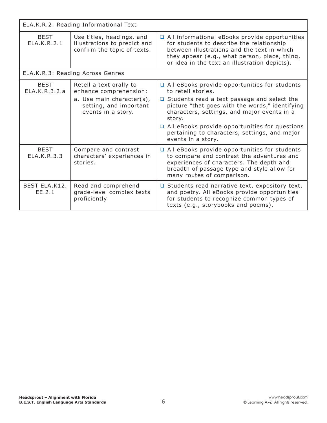| ELA.K.R.2: Reading Informational Text |                                                                                                                                |                                                                                                                                                                                                                                                                                                                                                                       |
|---------------------------------------|--------------------------------------------------------------------------------------------------------------------------------|-----------------------------------------------------------------------------------------------------------------------------------------------------------------------------------------------------------------------------------------------------------------------------------------------------------------------------------------------------------------------|
| <b>BEST</b><br>ELA.K.R.2.1            | Use titles, headings, and<br>illustrations to predict and<br>confirm the topic of texts.                                       | $\Box$ All informational eBooks provide opportunities<br>for students to describe the relationship<br>between illustrations and the text in which<br>they appear (e.g., what person, place, thing,<br>or idea in the text an illustration depicts).                                                                                                                   |
|                                       | ELA.K.R.3: Reading Across Genres                                                                                               |                                                                                                                                                                                                                                                                                                                                                                       |
| <b>BEST</b><br>ELA.K.R.3.2.a          | Retell a text orally to<br>enhance comprehension:<br>a. Use main character(s),<br>setting, and important<br>events in a story. | All eBooks provide opportunities for students<br>to retell stories.<br>$\Box$ Students read a text passage and select the<br>picture "that goes with the words," identifying<br>characters, settings, and major events in a<br>story.<br>$\Box$ All eBooks provide opportunities for questions<br>pertaining to characters, settings, and major<br>events in a story. |
| <b>BEST</b><br>ELA.K.R.3.3            | Compare and contrast<br>characters' experiences in<br>stories.                                                                 | All eBooks provide opportunities for students<br>to compare and contrast the adventures and<br>experiences of characters. The depth and<br>breadth of passage type and style allow for<br>many routes of comparison.                                                                                                                                                  |
| BEST ELA.K12.<br>EE.2.1               | Read and comprehend<br>grade-level complex texts<br>proficiently                                                               | $\Box$ Students read narrative text, expository text,<br>and poetry. All eBooks provide opportunities<br>for students to recognize common types of<br>texts (e.g., storybooks and poems).                                                                                                                                                                             |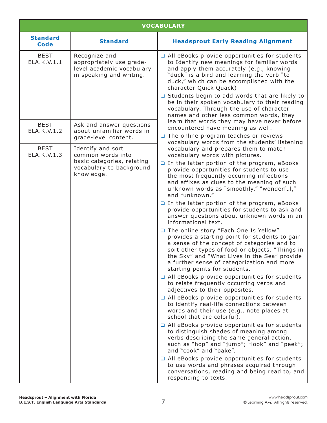|                                |                                                                                                    | <b>VOCABULARY</b>                                                                                                                                                                                                                                                                                                                                                                                                                                               |
|--------------------------------|----------------------------------------------------------------------------------------------------|-----------------------------------------------------------------------------------------------------------------------------------------------------------------------------------------------------------------------------------------------------------------------------------------------------------------------------------------------------------------------------------------------------------------------------------------------------------------|
| <b>Standard</b><br><b>Code</b> | <b>Standard</b>                                                                                    | <b>Headsprout Early Reading Alignment</b>                                                                                                                                                                                                                                                                                                                                                                                                                       |
| <b>BEST</b><br>ELA.K.V.1.1     | Recognize and<br>appropriately use grade-<br>level academic vocabulary<br>in speaking and writing. | All eBooks provide opportunities for students<br>to Identify new meanings for familiar words<br>and apply them accurately (e.g., knowing<br>"duck" is a bird and learning the verb "to<br>duck," which can be accomplished with the<br>character Quick Quack)<br>$\Box$ Students begin to add words that are likely to<br>be in their spoken vocabulary to their reading<br>vocabulary. Through the use of character<br>names and other less common words, they |
| <b>BEST</b><br>ELA.K.V.1.2     | Ask and answer questions<br>about unfamiliar words in<br>grade-level content.                      | learn that words they may have never before<br>encountered have meaning as well.<br>$\Box$ The online program teaches or reviews                                                                                                                                                                                                                                                                                                                                |
| <b>BEST</b><br>ELA.K.V.1.3     | Identify and sort<br>common words into                                                             | vocabulary words from the students' listening<br>vocabulary and prepares them to match<br>vocabulary words with pictures.                                                                                                                                                                                                                                                                                                                                       |
|                                | basic categories, relating<br>vocabulary to background<br>knowledge.                               | $\Box$ In the latter portion of the program, eBooks<br>provide opportunities for students to use<br>the most frequently occurring inflections<br>and affixes as clues to the meaning of such<br>unknown words as "smoothly," "wonderful,"<br>and "unknown."                                                                                                                                                                                                     |
|                                |                                                                                                    | $\Box$ In the latter portion of the program, eBooks<br>provide opportunities for students to ask and<br>answer questions about unknown words in an<br>informational text.                                                                                                                                                                                                                                                                                       |
|                                |                                                                                                    | □ The online story "Each One Is Yellow"<br>provides a starting point for students to gain<br>a sense of the concept of categories and to<br>sort other types of food or objects. "Things in<br>the Sky" and "What Lives in the Sea" provide<br>a further sense of categorization and more<br>starting points for students.                                                                                                                                      |
|                                |                                                                                                    | $\Box$ All eBooks provide opportunities for students<br>to relate frequently occurring verbs and<br>adjectives to their opposites.                                                                                                                                                                                                                                                                                                                              |
|                                |                                                                                                    | All eBooks provide opportunities for students<br>to identify real-life connections between<br>words and their use (e.g., note places at<br>school that are colorful).                                                                                                                                                                                                                                                                                           |
|                                |                                                                                                    | $\Box$ All eBooks provide opportunities for students<br>to distinguish shades of meaning among<br>verbs describing the same general action,<br>such as "hop" and "jump"; "look" and "peek";<br>and "cook" and "bake".                                                                                                                                                                                                                                           |
|                                |                                                                                                    | $\Box$ All eBooks provide opportunities for students<br>to use words and phrases acquired through<br>conversations, reading and being read to, and<br>responding to texts.                                                                                                                                                                                                                                                                                      |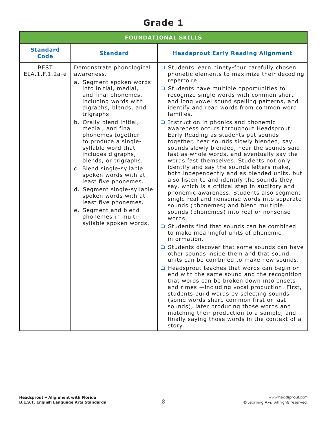### **Grade 1**

|                                |                                                                                                                                                                                                                                                                                                                                                                                                                                                                                                                                                                                       | <b>FOUNDATIONAL SKILLS</b>                                                                                                                                                                                                                                                                                                                                                                                                                                                                                                                                                                                                                                                                                                                                                                                                                                                                                                                                                                                                                                                                                                                                                                                                                                                                                                                                                                                                                                                                                                                                                                                                                                                                                                     |
|--------------------------------|---------------------------------------------------------------------------------------------------------------------------------------------------------------------------------------------------------------------------------------------------------------------------------------------------------------------------------------------------------------------------------------------------------------------------------------------------------------------------------------------------------------------------------------------------------------------------------------|--------------------------------------------------------------------------------------------------------------------------------------------------------------------------------------------------------------------------------------------------------------------------------------------------------------------------------------------------------------------------------------------------------------------------------------------------------------------------------------------------------------------------------------------------------------------------------------------------------------------------------------------------------------------------------------------------------------------------------------------------------------------------------------------------------------------------------------------------------------------------------------------------------------------------------------------------------------------------------------------------------------------------------------------------------------------------------------------------------------------------------------------------------------------------------------------------------------------------------------------------------------------------------------------------------------------------------------------------------------------------------------------------------------------------------------------------------------------------------------------------------------------------------------------------------------------------------------------------------------------------------------------------------------------------------------------------------------------------------|
| <b>Standard</b><br><b>Code</b> | <b>Standard</b>                                                                                                                                                                                                                                                                                                                                                                                                                                                                                                                                                                       | <b>Headsprout Early Reading Alignment</b>                                                                                                                                                                                                                                                                                                                                                                                                                                                                                                                                                                                                                                                                                                                                                                                                                                                                                                                                                                                                                                                                                                                                                                                                                                                                                                                                                                                                                                                                                                                                                                                                                                                                                      |
| <b>BEST</b><br>ELA.1.F.1.2a-e  | Demonstrate phonological<br>awareness.<br>a. Segment spoken words<br>into initial, medial,<br>and final phonemes,<br>including words with<br>digraphs, blends, and<br>trigraphs.<br>b. Orally blend initial,<br>medial, and final<br>phonemes together<br>to produce a single-<br>syllable word that<br>includes digraphs,<br>blends, or trigraphs.<br>c. Blend single-syllable<br>spoken words with at<br>least five phonemes.<br>d. Segment single-syllable<br>spoken words with at<br>least five phonemes.<br>e. Segment and blend<br>phonemes in multi-<br>syllable spoken words. | □ Students learn ninety-four carefully chosen<br>phonetic elements to maximize their decoding<br>repertoire.<br>$\Box$ Students have multiple opportunities to<br>recognize single words with common short<br>and long vowel sound spelling patterns, and<br>identify and read words from common word<br>families.<br>$\Box$ Instruction in phonics and phonemic<br>awareness occurs throughout Headsprout<br>Early Reading as students put sounds<br>together, hear sounds slowly blended, say<br>sounds slowly blended, hear the sounds said<br>fast as whole words, and eventually say the<br>words fast themselves. Students not only<br>identify and say the sounds letters make,<br>both independently and as blended units, but<br>also listen to and identify the sounds they<br>say, which is a critical step in auditory and<br>phonemic awareness. Students also segment<br>single real and nonsense words into separate<br>sounds (phonemes) and blend multiple<br>sounds (phonemes) into real or nonsense<br>words.<br>□ Students find that sounds can be combined<br>to make meaningful units of phonemic<br>information.<br>□ Students discover that some sounds can have<br>other sounds inside them and that sound<br>units can be combined to make new sounds.<br>$\Box$ Headsprout teaches that words can begin or<br>end with the same sound and the recognition<br>that words can be broken down into onsets<br>and rimes -including vocal production. First,<br>students build words by selecting sounds<br>(some words share common first or last<br>sounds), later producing those words and<br>matching their production to a sample, and<br>finally saying those words in the context of a<br>story. |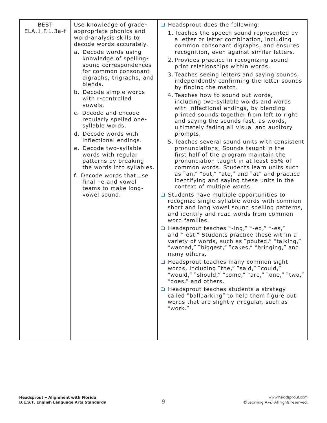| <b>BEST</b><br>ELA.1.F.1.3a-f | Use knowledge of grade-<br>appropriate phonics and<br>word-analysis skills to<br>decode words accurately.<br>a. Decode words using<br>knowledge of spelling-<br>sound correspondences<br>for common consonant<br>digraphs, trigraphs, and<br>blends.<br>b. Decode simple words<br>with r-controlled<br>vowels.<br>c. Decode and encode<br>regularly spelled one-<br>syllable words.<br>d. Decode words with<br>inflectional endings.<br>e. Decode two-syllable<br>words with regular<br>patterns by breaking<br>the words into syllables.<br>f. Decode words that use<br>final -e and vowel<br>teams to make long-<br>vowel sound. | $\Box$ Headsprout does the following:<br>1. Teaches the speech sound represented by<br>a letter or letter combination, including<br>common consonant digraphs, and ensures<br>recognition, even against similar letters.<br>2. Provides practice in recognizing sound-<br>print relationships within words.<br>3. Teaches seeing letters and saying sounds,<br>independently confirming the letter sounds<br>by finding the match.<br>4. Teaches how to sound out words,<br>including two-syllable words and words<br>with inflectional endings, by blending<br>printed sounds together from left to right<br>and saying the sounds fast, as words,<br>ultimately fading all visual and auditory<br>prompts.<br>5. Teaches several sound units with consistent<br>pronunciations. Sounds taught in the<br>first half of the program maintain the<br>pronunciation taught in at least 85% of<br>common words. Students learn units such<br>as "an," "out," "ate," and "at" and practice<br>identifying and saying these units in the<br>context of multiple words.<br>$\Box$ Students have multiple opportunities to<br>recognize single-syllable words with common<br>short and long vowel sound spelling patterns,<br>and identify and read words from common<br>word families.<br>□ Headsprout teaches "-ing," "-ed," "-es,"<br>and "-est." Students practice these within a<br>variety of words, such as "pouted," "talking,"<br>"wanted," "biggest," "cakes," "bringing," and<br>many others.<br>□ Headsprout teaches many common sight<br>words, including "the," "said," "could,"<br>"would," "should," "come," "are," "one," "two,"<br>"does," and others.<br>$\Box$ Headsprout teaches students a strategy<br>called "ballparking" to help them figure out<br>words that are slightly irregular, such as<br>"work." |
|-------------------------------|------------------------------------------------------------------------------------------------------------------------------------------------------------------------------------------------------------------------------------------------------------------------------------------------------------------------------------------------------------------------------------------------------------------------------------------------------------------------------------------------------------------------------------------------------------------------------------------------------------------------------------|-----------------------------------------------------------------------------------------------------------------------------------------------------------------------------------------------------------------------------------------------------------------------------------------------------------------------------------------------------------------------------------------------------------------------------------------------------------------------------------------------------------------------------------------------------------------------------------------------------------------------------------------------------------------------------------------------------------------------------------------------------------------------------------------------------------------------------------------------------------------------------------------------------------------------------------------------------------------------------------------------------------------------------------------------------------------------------------------------------------------------------------------------------------------------------------------------------------------------------------------------------------------------------------------------------------------------------------------------------------------------------------------------------------------------------------------------------------------------------------------------------------------------------------------------------------------------------------------------------------------------------------------------------------------------------------------------------------------------------------------------------------------------------------------------------------------------------|
|-------------------------------|------------------------------------------------------------------------------------------------------------------------------------------------------------------------------------------------------------------------------------------------------------------------------------------------------------------------------------------------------------------------------------------------------------------------------------------------------------------------------------------------------------------------------------------------------------------------------------------------------------------------------------|-----------------------------------------------------------------------------------------------------------------------------------------------------------------------------------------------------------------------------------------------------------------------------------------------------------------------------------------------------------------------------------------------------------------------------------------------------------------------------------------------------------------------------------------------------------------------------------------------------------------------------------------------------------------------------------------------------------------------------------------------------------------------------------------------------------------------------------------------------------------------------------------------------------------------------------------------------------------------------------------------------------------------------------------------------------------------------------------------------------------------------------------------------------------------------------------------------------------------------------------------------------------------------------------------------------------------------------------------------------------------------------------------------------------------------------------------------------------------------------------------------------------------------------------------------------------------------------------------------------------------------------------------------------------------------------------------------------------------------------------------------------------------------------------------------------------------------|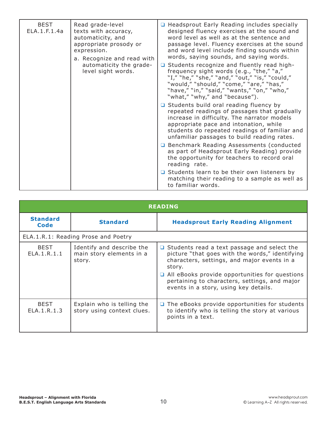| $\Box$ Students build oral reading fluency by<br>repeated readings of passages that gradually<br>increase in difficulty. The narrator models<br>appropriate pace and intonation, while<br>students do repeated readings of familiar and<br>unfamiliar passages to build reading rates.<br>□ Benchmark Reading Assessments (conducted<br>as part of Headsprout Early Reading) provide | the opportunity for teachers to record oral<br>reading rate. | <b>BEST</b><br>ELA.1.F.1.4a | Read grade-level<br>texts with accuracy,<br>automaticity, and<br>appropriate prosody or<br>expression.<br>a. Recognize and read with<br>automaticity the grade-<br>level sight words. | $\Box$ Headsprout Early Reading includes specially<br>designed fluency exercises at the sound and<br>word level as well as at the sentence and<br>passage level. Fluency exercises at the sound<br>and word level include finding sounds within<br>words, saying sounds, and saying words.<br>□ Students recognize and fluently read high-<br>frequency sight words (e.g., "the," "a,"<br>"I," "he," "she," "and," "out," "is," "could,"<br>"would," "should," "come," "are," "has,"<br>"have," "in," "said," "wants," "on," "who,"<br>"what," "why," and "because"). |
|--------------------------------------------------------------------------------------------------------------------------------------------------------------------------------------------------------------------------------------------------------------------------------------------------------------------------------------------------------------------------------------|--------------------------------------------------------------|-----------------------------|---------------------------------------------------------------------------------------------------------------------------------------------------------------------------------------|-----------------------------------------------------------------------------------------------------------------------------------------------------------------------------------------------------------------------------------------------------------------------------------------------------------------------------------------------------------------------------------------------------------------------------------------------------------------------------------------------------------------------------------------------------------------------|
|                                                                                                                                                                                                                                                                                                                                                                                      |                                                              |                             |                                                                                                                                                                                       |                                                                                                                                                                                                                                                                                                                                                                                                                                                                                                                                                                       |

|                            | <b>READING</b>                                                  |                                                                                                                                                                                                                                                                                                                   |  |
|----------------------------|-----------------------------------------------------------------|-------------------------------------------------------------------------------------------------------------------------------------------------------------------------------------------------------------------------------------------------------------------------------------------------------------------|--|
| <b>Standard</b><br>Code    | <b>Standard</b>                                                 | <b>Headsprout Early Reading Alignment</b>                                                                                                                                                                                                                                                                         |  |
|                            | ELA.1.R.1: Reading Prose and Poetry                             |                                                                                                                                                                                                                                                                                                                   |  |
| <b>BEST</b><br>ELA.1.R.1.1 | Identify and describe the<br>main story elements in a<br>story. | $\Box$ Students read a text passage and select the<br>picture "that goes with the words," identifying<br>characters, settings, and major events in a<br>story.<br>$\Box$ All eBooks provide opportunities for questions<br>pertaining to characters, settings, and major<br>events in a story, using key details. |  |
| <b>BEST</b><br>FLA.1.R.1.3 | Explain who is telling the<br>story using context clues.        | $\Box$ The eBooks provide opportunities for students<br>to identify who is telling the story at various<br>points in a text.                                                                                                                                                                                      |  |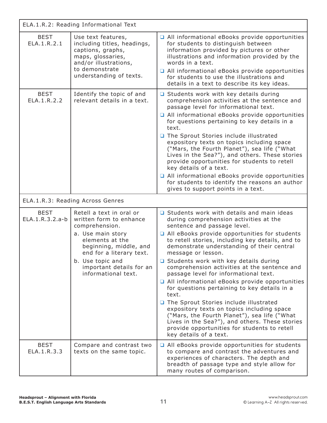| ELA.1.R.2: Reading Informational Text |                                                                                                                                                                                                                                            |                                                                                                                                                                                                                                                                                                                                                                                                                                                                                                                                                                                                                                                                                                                                                                                                                       |
|---------------------------------------|--------------------------------------------------------------------------------------------------------------------------------------------------------------------------------------------------------------------------------------------|-----------------------------------------------------------------------------------------------------------------------------------------------------------------------------------------------------------------------------------------------------------------------------------------------------------------------------------------------------------------------------------------------------------------------------------------------------------------------------------------------------------------------------------------------------------------------------------------------------------------------------------------------------------------------------------------------------------------------------------------------------------------------------------------------------------------------|
| <b>BEST</b><br>ELA.1.R.2.1            | Use text features,<br>including titles, headings,<br>captions, graphs,<br>maps, glossaries,<br>and/or illustrations,<br>to demonstrate<br>understanding of texts.                                                                          | $\Box$ All informational eBooks provide opportunities<br>for students to distinguish between<br>information provided by pictures or other<br>illustrations and information provided by the<br>words in a text.<br>All informational eBooks provide opportunities<br>for students to use the illustrations and<br>details in a text to describe its key ideas.                                                                                                                                                                                                                                                                                                                                                                                                                                                         |
| <b>BEST</b><br>ELA.1.R.2.2            | Identify the topic of and<br>relevant details in a text.                                                                                                                                                                                   | $\Box$ Students work with key details during<br>comprehension activities at the sentence and<br>passage level for informational text.<br>All informational eBooks provide opportunities<br>for questions pertaining to key details in a<br>text.<br>□ The Sprout Stories include illustrated<br>expository texts on topics including space<br>("Mars, the Fourth Planet"), sea life ("What<br>Lives in the Sea?"), and others. These stories<br>provide opportunities for students to retell<br>key details of a text.<br>All informational eBooks provide opportunities<br>for students to identify the reasons an author<br>gives to support points in a text.                                                                                                                                                      |
|                                       | ELA.1.R.3: Reading Across Genres                                                                                                                                                                                                           |                                                                                                                                                                                                                                                                                                                                                                                                                                                                                                                                                                                                                                                                                                                                                                                                                       |
| <b>BEST</b><br>ELA.1.R.3.2.a-b        | Retell a text in oral or<br>written form to enhance<br>comprehension.<br>a. Use main story<br>elements at the<br>beginning, middle, and<br>end for a literary text.<br>b. Use topic and<br>important details for an<br>informational text. | $\Box$ Students work with details and main ideas<br>during comprehension activities at the<br>sentence and passage level.<br>All eBooks provide opportunities for students<br>to retell stories, including key details, and to<br>demonstrate understanding of their central<br>message or lesson.<br>□ Students work with key details during<br>comprehension activities at the sentence and<br>passage level for informational text.<br>All informational eBooks provide opportunities<br>for questions pertaining to key details in a<br>text.<br>The Sprout Stories include illustrated<br>expository texts on topics including space<br>("Mars, the Fourth Planet"), sea life ("What<br>Lives in the Sea?"), and others. These stories<br>provide opportunities for students to retell<br>key details of a text. |
| <b>BEST</b><br>ELA.1.R.3.3            | Compare and contrast two<br>texts on the same topic.                                                                                                                                                                                       | All eBooks provide opportunities for students<br>to compare and contrast the adventures and<br>experiences of characters. The depth and<br>breadth of passage type and style allow for<br>many routes of comparison.                                                                                                                                                                                                                                                                                                                                                                                                                                                                                                                                                                                                  |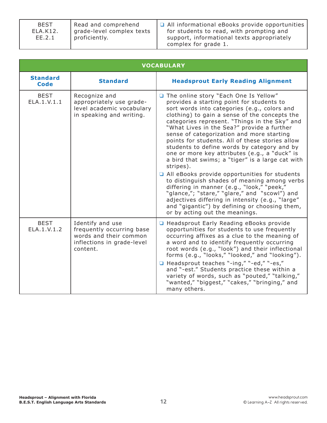| <b>BEST</b> | Read and comprehend       | $\Box$ All informational eBooks provide opportunities |
|-------------|---------------------------|-------------------------------------------------------|
| ELA.K12.    | grade-level complex texts | for students to read, with prompting and              |
| EE.2.1      | proficiently.             | support, informational texts appropriately            |
|             |                           | complex for grade 1.                                  |

| <b>VOCABULARY</b>              |                                                                                                                   |                                                                                                                                                                                                                                                                                                                                                                                                                                                                                                                                                                                                                                                                                                                                                                                                                                                                                                     |
|--------------------------------|-------------------------------------------------------------------------------------------------------------------|-----------------------------------------------------------------------------------------------------------------------------------------------------------------------------------------------------------------------------------------------------------------------------------------------------------------------------------------------------------------------------------------------------------------------------------------------------------------------------------------------------------------------------------------------------------------------------------------------------------------------------------------------------------------------------------------------------------------------------------------------------------------------------------------------------------------------------------------------------------------------------------------------------|
| <b>Standard</b><br><b>Code</b> | <b>Standard</b>                                                                                                   | <b>Headsprout Early Reading Alignment</b>                                                                                                                                                                                                                                                                                                                                                                                                                                                                                                                                                                                                                                                                                                                                                                                                                                                           |
| <b>BEST</b><br>ELA.1.V.1.1     | Recognize and<br>appropriately use grade-<br>level academic vocabulary<br>in speaking and writing.                | □ The online story "Each One Is Yellow"<br>provides a starting point for students to<br>sort words into categories (e.g., colors and<br>clothing) to gain a sense of the concepts the<br>categories represent. "Things in the Sky" and<br>"What Lives in the Sea?" provide a further<br>sense of categorization and more starting<br>points for students. All of these stories allow<br>students to define words by category and by<br>one or more key attributes (e.g., a "duck" is<br>a bird that swims; a "tiger" is a large cat with<br>stripes).<br>$\Box$ All eBooks provide opportunities for students<br>to distinguish shades of meaning among verbs<br>differing in manner (e.g., "look," "peek,"<br>"glance,"; "stare," "glare," and "scowl") and<br>adjectives differing in intensity (e.g., "large"<br>and "gigantic") by defining or choosing them,<br>or by acting out the meanings. |
| <b>BEST</b><br>ELA.1.V.1.2     | Identify and use<br>frequently occurring base<br>words and their common<br>inflections in grade-level<br>content. | □ Headsprout Early Reading eBooks provide<br>opportunities for students to use frequently<br>occurring affixes as a clue to the meaning of<br>a word and to identify frequently occurring<br>root words (e.g., "look") and their inflectional<br>forms (e.g., "looks," "looked," and "looking").<br>□ Headsprout teaches "-ing," "-ed," "-es,"<br>and "-est." Students practice these within a<br>variety of words, such as "pouted," "talking,"<br>"wanted," "biggest," "cakes," "bringing," and<br>many others.                                                                                                                                                                                                                                                                                                                                                                                   |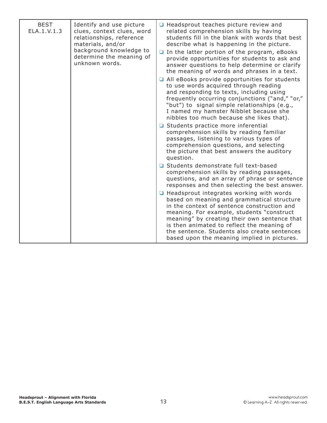| <b>BEST</b><br>ELA.1.V.1.3 | Identify and use picture<br>clues, context clues, word<br>relationships, reference<br>materials, and/or<br>background knowledge to<br>determine the meaning of<br>unknown words. | $\Box$ Headsprout teaches picture review and<br>related comprehension skills by having<br>students fill in the blank with words that best<br>describe what is happening in the picture.<br>$\Box$ In the latter portion of the program, eBooks<br>provide opportunities for students to ask and<br>answer questions to help determine or clarify<br>the meaning of words and phrases in a text.<br>All eBooks provide opportunities for students<br>to use words acquired through reading<br>and responding to texts, including using<br>frequently occurring conjunctions ("and," "or,"<br>"but") to signal simple relationships (e.g.,<br>I named my hamster Nibblet because she<br>nibbles too much because she likes that).<br>$\Box$ Students practice more inferential<br>comprehension skills by reading familiar<br>passages, listening to various types of<br>comprehension questions, and selecting<br>the picture that best answers the auditory<br>question.<br>□ Students demonstrate full text-based<br>comprehension skills by reading passages,<br>questions, and an array of phrase or sentence<br>responses and then selecting the best answer.<br>$\Box$ Headsprout integrates working with words<br>based on meaning and grammatical structure<br>in the context of sentence construction and<br>meaning. For example, students "construct<br>meaning" by creating their own sentence that<br>is then animated to reflect the meaning of |
|----------------------------|----------------------------------------------------------------------------------------------------------------------------------------------------------------------------------|--------------------------------------------------------------------------------------------------------------------------------------------------------------------------------------------------------------------------------------------------------------------------------------------------------------------------------------------------------------------------------------------------------------------------------------------------------------------------------------------------------------------------------------------------------------------------------------------------------------------------------------------------------------------------------------------------------------------------------------------------------------------------------------------------------------------------------------------------------------------------------------------------------------------------------------------------------------------------------------------------------------------------------------------------------------------------------------------------------------------------------------------------------------------------------------------------------------------------------------------------------------------------------------------------------------------------------------------------------------------------------------------------------------------------------------------------------------|
|                            |                                                                                                                                                                                  | the sentence. Students also create sentences<br>based upon the meaning implied in pictures.                                                                                                                                                                                                                                                                                                                                                                                                                                                                                                                                                                                                                                                                                                                                                                                                                                                                                                                                                                                                                                                                                                                                                                                                                                                                                                                                                                  |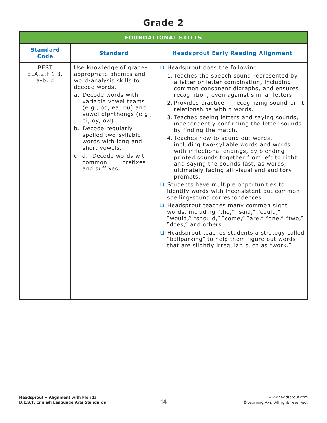## **Grade 2**

|                                          |                                                                                                                                                                                                                                                                                                                                                                                | <b>FOUNDATIONAL SKILLS</b>                                                                                                                                                                                                                                                                                                                                                                                                                                                                                                                                                                                                                                                                                                                                                                                                                                                                                                                                                                                                                                                                                                                                   |
|------------------------------------------|--------------------------------------------------------------------------------------------------------------------------------------------------------------------------------------------------------------------------------------------------------------------------------------------------------------------------------------------------------------------------------|--------------------------------------------------------------------------------------------------------------------------------------------------------------------------------------------------------------------------------------------------------------------------------------------------------------------------------------------------------------------------------------------------------------------------------------------------------------------------------------------------------------------------------------------------------------------------------------------------------------------------------------------------------------------------------------------------------------------------------------------------------------------------------------------------------------------------------------------------------------------------------------------------------------------------------------------------------------------------------------------------------------------------------------------------------------------------------------------------------------------------------------------------------------|
| <b>Standard</b><br><b>Code</b>           | <b>Standard</b>                                                                                                                                                                                                                                                                                                                                                                | <b>Headsprout Early Reading Alignment</b>                                                                                                                                                                                                                                                                                                                                                                                                                                                                                                                                                                                                                                                                                                                                                                                                                                                                                                                                                                                                                                                                                                                    |
| <b>BEST</b><br>ELA.2.F.1.3.<br>$a-b$ , d | Use knowledge of grade-<br>appropriate phonics and<br>word-analysis skills to<br>decode words.<br>a. Decode words with<br>variable vowel teams<br>$(e.g., oo, ea, ou)$ and<br>vowel diphthongs (e.g.,<br>oi, oy, ow).<br>b. Decode regularly<br>spelled two-syllable<br>words with long and<br>short vowels.<br>c. d. Decode words with<br>prefixes<br>common<br>and suffixes. | $\Box$ Headsprout does the following:<br>1. Teaches the speech sound represented by<br>a letter or letter combination, including<br>common consonant digraphs, and ensures<br>recognition, even against similar letters.<br>2. Provides practice in recognizing sound-print<br>relationships within words.<br>3. Teaches seeing letters and saying sounds,<br>independently confirming the letter sounds<br>by finding the match.<br>4. Teaches how to sound out words,<br>including two-syllable words and words<br>with inflectional endings, by blending<br>printed sounds together from left to right<br>and saying the sounds fast, as words,<br>ultimately fading all visual and auditory<br>prompts.<br>□ Students have multiple opportunities to<br>identify words with inconsistent but common<br>spelling-sound correspondences.<br>□ Headsprout teaches many common sight<br>words, including "the," "said," "could,"<br>"would," "should," "come," "are," "one," "two,"<br>"does," and others.<br>□ Headsprout teaches students a strategy called<br>"ballparking" to help them figure out words<br>that are slightly irregular, such as "work." |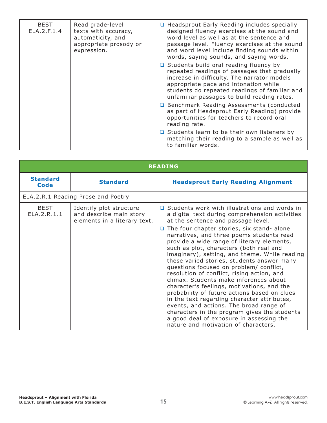| <b>BEST</b><br>ELA.2.F.1.4 | Read grade-level<br>texts with accuracy,<br>automaticity, and<br>appropriate prosody or<br>expression. | $\Box$ Headsprout Early Reading includes specially<br>designed fluency exercises at the sound and<br>word level as well as at the sentence and<br>passage level. Fluency exercises at the sound<br>and word level include finding sounds within<br>words, saying sounds, and saying words. |
|----------------------------|--------------------------------------------------------------------------------------------------------|--------------------------------------------------------------------------------------------------------------------------------------------------------------------------------------------------------------------------------------------------------------------------------------------|
|                            |                                                                                                        | $\Box$ Students build oral reading fluency by<br>repeated readings of passages that gradually<br>increase in difficulty. The narrator models<br>appropriate pace and intonation while<br>students do repeated readings of familiar and<br>unfamiliar passages to build reading rates.      |
|                            |                                                                                                        | □ Benchmark Reading Assessments (conducted<br>as part of Headsprout Early Reading) provide<br>opportunities for teachers to record oral<br>reading rate.                                                                                                                                   |
|                            |                                                                                                        | $\Box$ Students learn to be their own listeners by<br>matching their reading to a sample as well as<br>to familiar words.                                                                                                                                                                  |

| <b>READING</b>             |                                                                                    |                                                                                                                                                                                                                                                                                                                                                                                                                                                                                                                                                                                                                                                                                                                                                                                                                                                                                                      |
|----------------------------|------------------------------------------------------------------------------------|------------------------------------------------------------------------------------------------------------------------------------------------------------------------------------------------------------------------------------------------------------------------------------------------------------------------------------------------------------------------------------------------------------------------------------------------------------------------------------------------------------------------------------------------------------------------------------------------------------------------------------------------------------------------------------------------------------------------------------------------------------------------------------------------------------------------------------------------------------------------------------------------------|
| <b>Standard</b><br>Code    | <b>Standard</b>                                                                    | <b>Headsprout Early Reading Alignment</b>                                                                                                                                                                                                                                                                                                                                                                                                                                                                                                                                                                                                                                                                                                                                                                                                                                                            |
|                            | ELA.2.R.1 Reading Prose and Poetry                                                 |                                                                                                                                                                                                                                                                                                                                                                                                                                                                                                                                                                                                                                                                                                                                                                                                                                                                                                      |
| <b>BEST</b><br>ELA.2.R.1.1 | Identify plot structure<br>and describe main story<br>elements in a literary text. | $\Box$ Students work with illustrations and words in<br>a digital text during comprehension activities<br>at the sentence and passage level.<br>$\Box$ The four chapter stories, six stand- alone<br>narratives, and three poems students read<br>provide a wide range of literary elements,<br>such as plot, characters (both real and<br>imaginary), setting, and theme. While reading<br>these varied stories, students answer many<br>questions focused on problem/conflict,<br>resolution of conflict, rising action, and<br>climax. Students make inferences about<br>character's feelings, motivations, and the<br>probability of future actions based on clues<br>in the text regarding character attributes,<br>events, and actions. The broad range of<br>characters in the program gives the students<br>a good deal of exposure in assessing the<br>nature and motivation of characters. |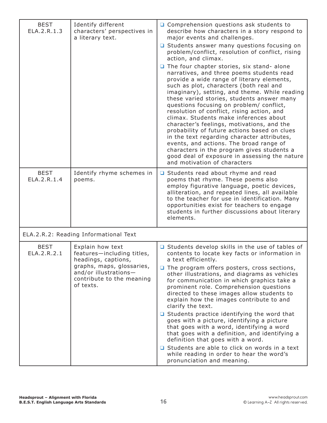| <b>BEST</b><br>ELA.2.R.1.3 | Identify different<br>characters' perspectives in<br>a literary text.                                                                                                 | $\Box$ Comprehension questions ask students to<br>describe how characters in a story respond to<br>major events and challenges.<br>□ Students answer many questions focusing on<br>problem/conflict, resolution of conflict, rising<br>action, and climax.<br>$\Box$ The four chapter stories, six stand- alone<br>narratives, and three poems students read<br>provide a wide range of literary elements,<br>such as plot, characters (both real and<br>imaginary), setting, and theme. While reading<br>these varied stories, students answer many<br>questions focusing on problem/ conflict,<br>resolution of conflict, rising action, and<br>climax. Students make inferences about<br>character's feelings, motivations, and the<br>probability of future actions based on clues<br>in the text regarding character attributes,<br>events, and actions. The broad range of<br>characters in the program gives students a<br>good deal of exposure in assessing the nature<br>and motivation of characters |
|----------------------------|-----------------------------------------------------------------------------------------------------------------------------------------------------------------------|-----------------------------------------------------------------------------------------------------------------------------------------------------------------------------------------------------------------------------------------------------------------------------------------------------------------------------------------------------------------------------------------------------------------------------------------------------------------------------------------------------------------------------------------------------------------------------------------------------------------------------------------------------------------------------------------------------------------------------------------------------------------------------------------------------------------------------------------------------------------------------------------------------------------------------------------------------------------------------------------------------------------|
| <b>BEST</b><br>ELA.2.R.1.4 | Identify rhyme schemes in<br>poems.                                                                                                                                   | $\Box$ Students read about rhyme and read<br>poems that rhyme. These poems also<br>employ figurative language, poetic devices,<br>alliteration, and repeated lines, all available<br>to the teacher for use in identification. Many<br>opportunities exist for teachers to engage<br>students in further discussions about literary<br>elements.                                                                                                                                                                                                                                                                                                                                                                                                                                                                                                                                                                                                                                                                |
|                            | ELA.2.R.2: Reading Informational Text                                                                                                                                 |                                                                                                                                                                                                                                                                                                                                                                                                                                                                                                                                                                                                                                                                                                                                                                                                                                                                                                                                                                                                                 |
| <b>BEST</b><br>ELA.2.R.2.1 | Explain how text<br>features-including titles,<br>headings, captions,<br>graphs, maps, glossaries,<br>and/or illustrations-<br>contribute to the meaning<br>of texts. | $\Box$ Students develop skills in the use of tables of<br>contents to locate key facts or information in<br>a text efficiently.<br>$\Box$ The program offers posters, cross sections,<br>other illustrations, and diagrams as vehicles<br>for communication in which graphics take a<br>prominent role. Comprehension questions<br>directed to these images allow students to<br>explain how the images contribute to and<br>clarify the text.<br>$\Box$ Students practice identifying the word that<br>goes with a picture, identifying a picture<br>that goes with a word, identifying a word<br>that goes with a definition, and identifying a<br>definition that goes with a word.<br>$\Box$ Students are able to click on words in a text<br>while reading in order to hear the word's<br>pronunciation and meaning.                                                                                                                                                                                       |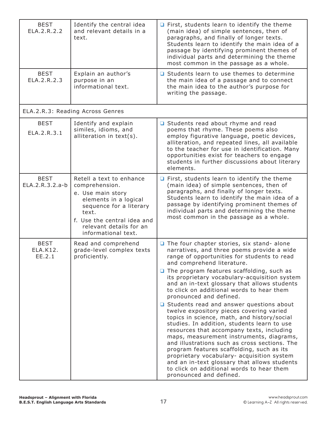| <b>BEST</b><br>ELA.2.R.2.2               | Identify the central idea<br>and relevant details in a<br>text.                                                                                                                                               | $\Box$ First, students learn to identify the theme<br>(main idea) of simple sentences, then of<br>paragraphs, and finally of longer texts.<br>Students learn to identify the main idea of a<br>passage by identifying prominent themes of<br>individual parts and determining the theme<br>most common in the passage as a whole.                                                                                                                                                                                                                                                                                                                                                                                                                                                                                                                                                                                                                                   |
|------------------------------------------|---------------------------------------------------------------------------------------------------------------------------------------------------------------------------------------------------------------|---------------------------------------------------------------------------------------------------------------------------------------------------------------------------------------------------------------------------------------------------------------------------------------------------------------------------------------------------------------------------------------------------------------------------------------------------------------------------------------------------------------------------------------------------------------------------------------------------------------------------------------------------------------------------------------------------------------------------------------------------------------------------------------------------------------------------------------------------------------------------------------------------------------------------------------------------------------------|
| <b>BEST</b><br>ELA.2.R.2.3               | Explain an author's<br>purpose in an<br>informational text.                                                                                                                                                   | □ Students learn to use themes to determine<br>the main idea of a passage and to connect<br>the main idea to the author's purpose for<br>writing the passage.                                                                                                                                                                                                                                                                                                                                                                                                                                                                                                                                                                                                                                                                                                                                                                                                       |
|                                          | ELA.2.R.3: Reading Across Genres                                                                                                                                                                              |                                                                                                                                                                                                                                                                                                                                                                                                                                                                                                                                                                                                                                                                                                                                                                                                                                                                                                                                                                     |
| <b>BEST</b><br>ELA.2.R.3.1               | Identify and explain<br>similes, idioms, and<br>alliteration in text(s).                                                                                                                                      | □ Students read about rhyme and read<br>poems that rhyme. These poems also<br>employ figurative language, poetic devices,<br>alliteration, and repeated lines, all available<br>to the teacher for use in identification. Many<br>opportunities exist for teachers to engage<br>students in further discussions about literary<br>elements.                                                                                                                                                                                                                                                                                                                                                                                                                                                                                                                                                                                                                         |
| <b>BEST</b><br>ELA.2.R.3.2.a-b           | Retell a text to enhance<br>comprehension.<br>e. Use main story<br>elements in a logical<br>sequence for a literary<br>text.<br>f. Use the central idea and<br>relevant details for an<br>informational text. | $\Box$ First, students learn to identify the theme<br>(main idea) of simple sentences, then of<br>paragraphs, and finally of longer texts.<br>Students learn to identify the main idea of a<br>passage by identifying prominent themes of<br>individual parts and determining the theme<br>most common in the passage as a whole.                                                                                                                                                                                                                                                                                                                                                                                                                                                                                                                                                                                                                                   |
| <b>BEST</b><br><b>ELA.K12.</b><br>EE.2.1 | Read and comprehend<br>grade-level complex texts<br>proficiently.                                                                                                                                             | $\Box$ The four chapter stories, six stand- alone<br>narratives, and three poems provide a wide<br>range of opportunities for students to read<br>and comprehend literature.<br>$\Box$ The program features scaffolding, such as<br>its proprietary vocabulary-acquisition system<br>and an in-text glossary that allows students<br>to click on additional words to hear them<br>pronounced and defined.<br>$\Box$ Students read and answer questions about<br>twelve expository pieces covering varied<br>topics in science, math, and history/social<br>studies. In addition, students learn to use<br>resources that accompany texts, including<br>maps, measurement instruments, diagrams,<br>and illustrations such as cross sections. The<br>program features scaffolding, such as its<br>proprietary vocabulary- acquisition system<br>and an in-text glossary that allows students<br>to click on additional words to hear them<br>pronounced and defined. |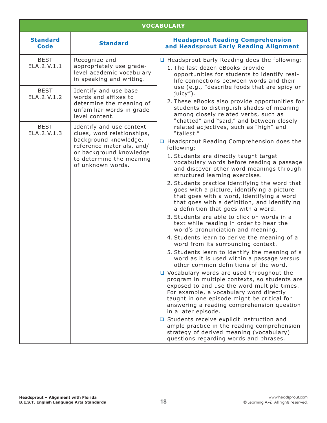|                                |                                                                                                                                                                                          | <b>VOCABULARY</b>                                                                                                                                                                                                                                                                                                                                                                                                                                                                                                                                                                                                                                                                                                                                                                                                                                                                                                                                                                                                                                                                                                                                                                                                                                                                                                                                                                                        |
|--------------------------------|------------------------------------------------------------------------------------------------------------------------------------------------------------------------------------------|----------------------------------------------------------------------------------------------------------------------------------------------------------------------------------------------------------------------------------------------------------------------------------------------------------------------------------------------------------------------------------------------------------------------------------------------------------------------------------------------------------------------------------------------------------------------------------------------------------------------------------------------------------------------------------------------------------------------------------------------------------------------------------------------------------------------------------------------------------------------------------------------------------------------------------------------------------------------------------------------------------------------------------------------------------------------------------------------------------------------------------------------------------------------------------------------------------------------------------------------------------------------------------------------------------------------------------------------------------------------------------------------------------|
| <b>Standard</b><br><b>Code</b> | <b>Standard</b>                                                                                                                                                                          | <b>Headsprout Reading Comprehension</b><br>and Headsprout Early Reading Alignment                                                                                                                                                                                                                                                                                                                                                                                                                                                                                                                                                                                                                                                                                                                                                                                                                                                                                                                                                                                                                                                                                                                                                                                                                                                                                                                        |
| <b>BEST</b><br>ELA.2.V.1.1     | Recognize and<br>appropriately use grade-<br>level academic vocabulary<br>in speaking and writing.                                                                                       | $\Box$ Headsprout Early Reading does the following:<br>1. The last dozen eBooks provide<br>opportunities for students to identify real-<br>life connections between words and their                                                                                                                                                                                                                                                                                                                                                                                                                                                                                                                                                                                                                                                                                                                                                                                                                                                                                                                                                                                                                                                                                                                                                                                                                      |
| <b>BEST</b><br>ELA.2.V.1.2     | Identify and use base<br>words and affixes to<br>determine the meaning of<br>unfamiliar words in grade-<br>level content.                                                                | use (e.g., "describe foods that are spicy or<br>juicy").<br>2. These eBooks also provide opportunities for<br>students to distinguish shades of meaning<br>among closely related verbs, such as<br>"chatted" and "said," and between closely                                                                                                                                                                                                                                                                                                                                                                                                                                                                                                                                                                                                                                                                                                                                                                                                                                                                                                                                                                                                                                                                                                                                                             |
| <b>BEST</b><br>ELA.2.V.1.3     | Identify and use context<br>clues, word relationships,<br>background knowledge,<br>reference materials, and/<br>or background knowledge<br>to determine the meaning<br>of unknown words. | related adjectives, such as "high" and<br>"tallest."<br>$\Box$ Headsprout Reading Comprehension does the<br>following:<br>1. Students are directly taught target<br>vocabulary words before reading a passage<br>and discover other word meanings through<br>structured learning exercises.<br>2. Students practice identifying the word that<br>goes with a picture, identifying a picture<br>that goes with a word, identifying a word<br>that goes with a definition, and identifying<br>a definition that goes with a word.<br>3. Students are able to click on words in a<br>text while reading in order to hear the<br>word's pronunciation and meaning.<br>4. Students learn to derive the meaning of a<br>word from its surrounding context.<br>5. Students learn to identify the meaning of a<br>word as it is used within a passage versus<br>other common definitions of the word.<br>$\Box$ Vocabulary words are used throughout the<br>program in multiple contexts, so students are<br>exposed to and use the word multiple times.<br>For example, a vocabulary word directly<br>taught in one episode might be critical for<br>answering a reading comprehension question<br>in a later episode.<br>$\Box$ Students receive explicit instruction and<br>ample practice in the reading comprehension<br>strategy of derived meaning (vocabulary)<br>questions regarding words and phrases. |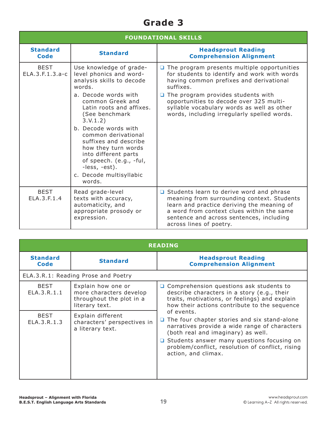### **Grade 3**

| <b>FOUNDATIONAL SKILLS</b>       |                                                                                                                                                                                                                                                                                                                                                                                                         |                                                                                                                                                                                                                                                                                                                                                 |
|----------------------------------|---------------------------------------------------------------------------------------------------------------------------------------------------------------------------------------------------------------------------------------------------------------------------------------------------------------------------------------------------------------------------------------------------------|-------------------------------------------------------------------------------------------------------------------------------------------------------------------------------------------------------------------------------------------------------------------------------------------------------------------------------------------------|
| <b>Standard</b><br><b>Code</b>   | <b>Standard</b>                                                                                                                                                                                                                                                                                                                                                                                         | <b>Headsprout Reading</b><br><b>Comprehension Alignment</b>                                                                                                                                                                                                                                                                                     |
| <b>BEST</b><br>$ELA.3.F.1.3.a-c$ | Use knowledge of grade-<br>level phonics and word-<br>analysis skills to decode<br>words.<br>a. Decode words with<br>common Greek and<br>Latin roots and affixes.<br>(See benchmark<br>3.V.1.2)<br>b. Decode words with<br>common derivational<br>suffixes and describe<br>how they turn words<br>into different parts<br>of speech. (e.g., -ful,<br>-less, -est).<br>c. Decode multisyllabic<br>words. | $\Box$ The program presents multiple opportunities<br>for students to identify and work with words<br>having common prefixes and derivational<br>suffixes.<br>$\Box$ The program provides students with<br>opportunities to decode over 325 multi-<br>syllable vocabulary words as well as other<br>words, including irregularly spelled words. |
| <b>BEST</b><br>ELA.3.F.1.4       | Read grade-level<br>texts with accuracy,<br>automaticity, and<br>appropriate prosody or<br>expression.                                                                                                                                                                                                                                                                                                  | □ Students learn to derive word and phrase<br>meaning from surrounding context. Students<br>learn and practice deriving the meaning of<br>a word from context clues within the same<br>sentence and across sentences, including<br>across lines of poetry.                                                                                      |

| <b>READING</b>             |                                                                                             |                                                                                                                                                                                                                                                                                        |
|----------------------------|---------------------------------------------------------------------------------------------|----------------------------------------------------------------------------------------------------------------------------------------------------------------------------------------------------------------------------------------------------------------------------------------|
| <b>Standard</b><br>Code    | <b>Standard</b>                                                                             | <b>Headsprout Reading</b><br><b>Comprehension Alignment</b>                                                                                                                                                                                                                            |
|                            | ELA.3.R.1: Reading Prose and Poetry                                                         |                                                                                                                                                                                                                                                                                        |
| <b>BEST</b><br>ELA.3.R.1.1 | Explain how one or<br>more characters develop<br>throughout the plot in a<br>literary text. | $\Box$ Comprehension questions ask students to<br>describe characters in a story (e.g., their<br>traits, motivations, or feelings) and explain<br>how their actions contribute to the sequence                                                                                         |
| <b>BEST</b><br>ELA.3.R.1.3 | Explain different<br>characters' perspectives in<br>a literary text.                        | of events.<br>The four chapter stories and six stand-alone<br>⊔<br>narratives provide a wide range of characters<br>(both real and imaginary) as well.<br>$\Box$ Students answer many questions focusing on<br>problem/conflict, resolution of conflict, rising<br>action, and climax. |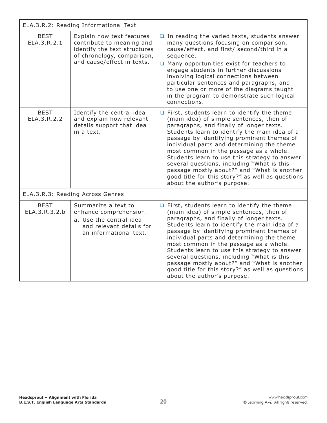| ELA.3.R.2: Reading Informational Text |                                                                                                                                                    |                                                                                                                                                                                                                                                                                                                                                                                                                                                                                                                                                                    |  |  |
|---------------------------------------|----------------------------------------------------------------------------------------------------------------------------------------------------|--------------------------------------------------------------------------------------------------------------------------------------------------------------------------------------------------------------------------------------------------------------------------------------------------------------------------------------------------------------------------------------------------------------------------------------------------------------------------------------------------------------------------------------------------------------------|--|--|
| <b>BEST</b><br>ELA.3.R.2.1            | Explain how text features<br>contribute to meaning and<br>identify the text structures<br>of chronology, comparison,<br>and cause/effect in texts. | $\Box$ In reading the varied texts, students answer<br>many questions focusing on comparison,<br>cause/effect, and first/ second/third in a<br>sequence.<br>$\Box$ Many opportunities exist for teachers to<br>engage students in further discussions<br>involving logical connections between<br>particular sentences and paragraphs, and<br>to use one or more of the diagrams taught<br>in the program to demonstrate such logical<br>connections.                                                                                                              |  |  |
| <b>BEST</b><br>ELA.3.R.2.2            | Identify the central idea<br>and explain how relevant<br>details support that idea<br>in a text.                                                   | $\Box$ First, students learn to identify the theme<br>(main idea) of simple sentences, then of<br>paragraphs, and finally of longer texts.<br>Students learn to identify the main idea of a<br>passage by identifying prominent themes of<br>individual parts and determining the theme<br>most common in the passage as a whole.<br>Students learn to use this strategy to answer<br>several questions, including "What is this<br>passage mostly about?" and "What is another<br>good title for this story?" as well as questions<br>about the author's purpose. |  |  |
| ELA.3.R.3: Reading Across Genres      |                                                                                                                                                    |                                                                                                                                                                                                                                                                                                                                                                                                                                                                                                                                                                    |  |  |
| <b>BEST</b><br>ELA.3.R.3.2.b          | Summarize a text to<br>enhance comprehension.<br>a. Use the central idea<br>and relevant details for<br>an informational text.                     | $\Box$ First, students learn to identify the theme<br>(main idea) of simple sentences, then of<br>paragraphs, and finally of longer texts.<br>Students learn to identify the main idea of a<br>passage by identifying prominent themes of<br>individual parts and determining the theme<br>most common in the passage as a whole.<br>Students learn to use this strategy to answer<br>several questions, including "What is this<br>passage mostly about?" and "What is another<br>good title for this story?" as well as questions<br>about the author's purpose. |  |  |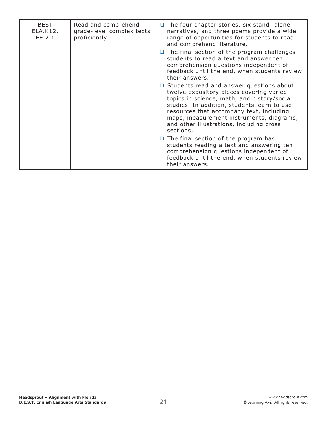| <b>BEST</b><br>ELA.K12.<br>EE.2.1 | Read and comprehend<br>grade-level complex texts<br>proficiently. | $\Box$ The four chapter stories, six stand- alone<br>narratives, and three poems provide a wide<br>range of opportunities for students to read<br>and comprehend literature.                                                                                                                                                               |
|-----------------------------------|-------------------------------------------------------------------|--------------------------------------------------------------------------------------------------------------------------------------------------------------------------------------------------------------------------------------------------------------------------------------------------------------------------------------------|
|                                   |                                                                   | $\Box$ The final section of the program challenges<br>students to read a text and answer ten<br>comprehension questions independent of<br>feedback until the end, when students review<br>their answers.                                                                                                                                   |
|                                   |                                                                   | $\Box$ Students read and answer questions about<br>twelve expository pieces covering varied<br>topics in science, math, and history/social<br>studies. In addition, students learn to use<br>resources that accompany text, including<br>maps, measurement instruments, diagrams,<br>and other illustrations, including cross<br>sections. |
|                                   |                                                                   | $\Box$ The final section of the program has<br>students reading a text and answering ten<br>comprehension questions independent of<br>feedback until the end, when students review<br>their answers.                                                                                                                                       |